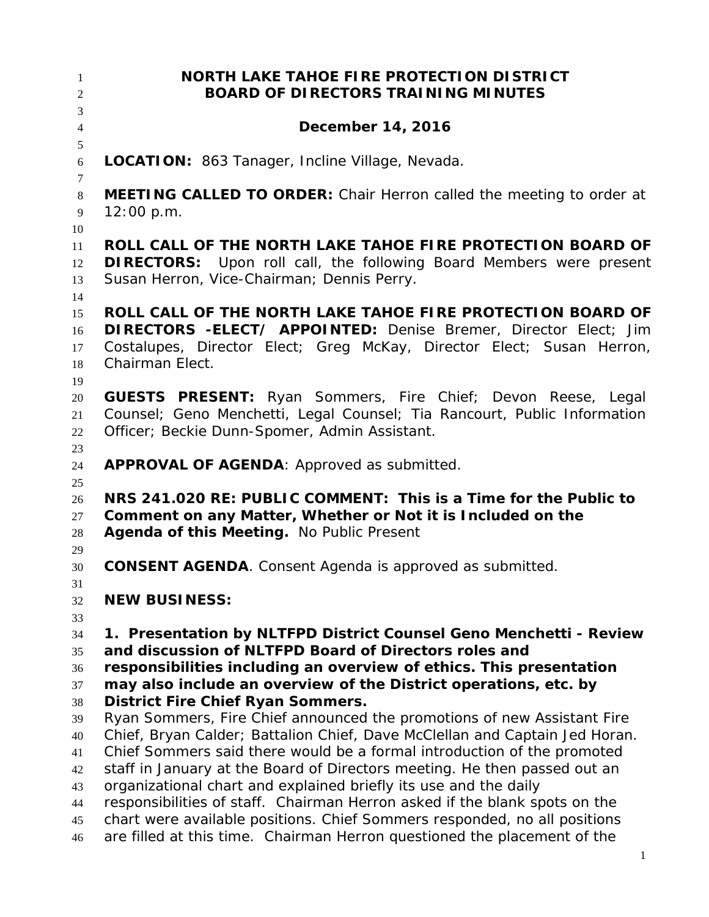**NORTH LAKE TAHOE FIRE PROTECTION DISTRICT BOARD OF DIRECTORS TRAINING MINUTES December 14, 2016 LOCATION:** 863 Tanager, Incline Village, Nevada. **MEETING CALLED TO ORDER:** Chair Herron called the meeting to order at 12:00 p.m. **ROLL CALL OF THE NORTH LAKE TAHOE FIRE PROTECTION BOARD OF DIRECTORS:** Upon roll call, the following Board Members were present Susan Herron, Vice-Chairman; Dennis Perry. **ROLL CALL OF THE NORTH LAKE TAHOE FIRE PROTECTION BOARD OF DIRECTORS -ELECT/ APPOINTED:** Denise Bremer, Director Elect; Jim Costalupes, Director Elect; Greg McKay, Director Elect; Susan Herron, Chairman Elect. **GUESTS PRESENT:** Ryan Sommers, Fire Chief; Devon Reese, Legal Counsel; Geno Menchetti, Legal Counsel; Tia Rancourt, Public Information Officer; Beckie Dunn-Spomer, Admin Assistant. **APPROVAL OF AGENDA**: Approved as submitted. **NRS 241.020 RE: PUBLIC COMMENT: This is a Time for the Public to Comment on any Matter, Whether or Not it is Included on the Agenda of this Meeting.** No Public Present **CONSENT AGENDA**. Consent Agenda is approved as submitted. **NEW BUSINESS: 1. Presentation by NLTFPD District Counsel Geno Menchetti - Review and discussion of NLTFPD Board of Directors roles and responsibilities including an overview of ethics. This presentation may also include an overview of the District operations, etc. by District Fire Chief Ryan Sommers.** Ryan Sommers, Fire Chief announced the promotions of new Assistant Fire Chief, Bryan Calder; Battalion Chief, Dave McClellan and Captain Jed Horan. Chief Sommers said there would be a formal introduction of the promoted staff in January at the Board of Directors meeting. He then passed out an organizational chart and explained briefly its use and the daily responsibilities of staff. Chairman Herron asked if the blank spots on the chart were available positions. Chief Sommers responded, no all positions are filled at this time. Chairman Herron questioned the placement of the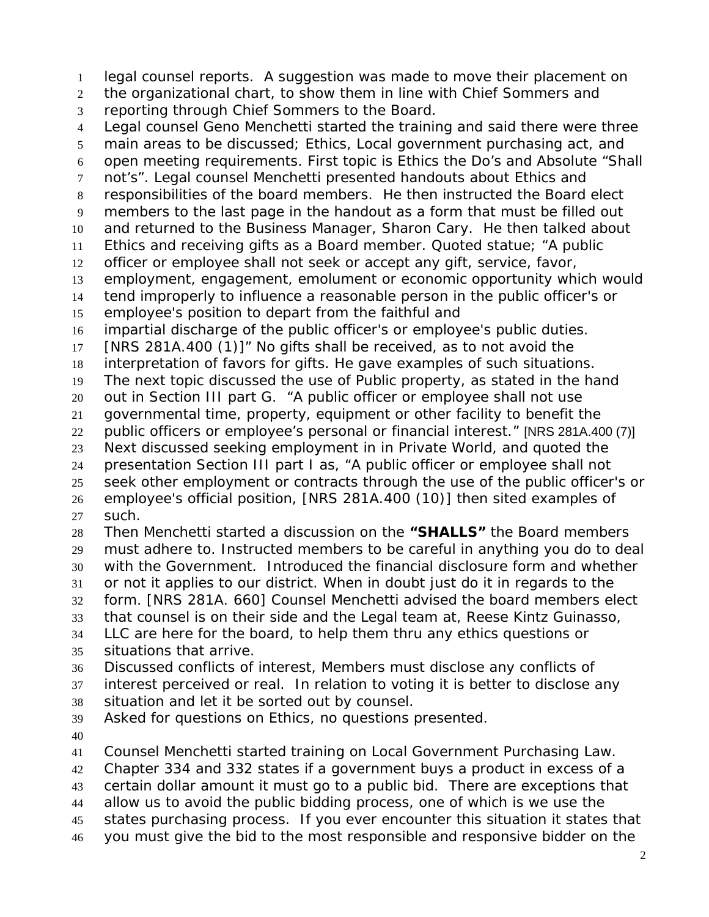legal counsel reports. A suggestion was made to move their placement on

the organizational chart, to show them in line with Chief Sommers and

reporting through Chief Sommers to the Board.

 Legal counsel Geno Menchetti started the training and said there were three main areas to be discussed; Ethics, Local government purchasing act, and open meeting requirements. First topic is Ethics the Do's and Absolute "Shall not's". Legal counsel Menchetti presented handouts about Ethics and responsibilities of the board members. He then instructed the Board elect members to the last page in the handout as a form that must be filled out and returned to the Business Manager, Sharon Cary. He then talked about Ethics and receiving gifts as a Board member. Quoted statue; "A public officer or employee shall not seek or accept any gift, service, favor, employment, engagement, emolument or economic opportunity which would tend improperly to influence a reasonable person in the public officer's or employee's position to depart from the faithful and impartial discharge of the public officer's or employee's public duties. [NRS 281A.400 (1)]" No gifts shall be received, as to not avoid the interpretation of favors for gifts. He gave examples of such situations. The next topic discussed the use of Public property, as stated in the hand out in Section III part G. "A public officer or employee shall not use governmental time, property, equipment or other facility to benefit the public officers or employee's personal or financial interest." [NRS 281A.400 (7)] Next discussed seeking employment in in Private World, and quoted the presentation Section III part I as, "A public officer or employee shall not seek other employment or contracts through the use of the public officer's or employee's official position, [NRS 281A.400 (10)] then sited examples of such. Then Menchetti started a discussion on the **"SHALLS"** the Board members must adhere to. Instructed members to be careful in anything you do to deal with the Government. Introduced the financial disclosure form and whether or not it applies to our district. When in doubt just do it in regards to the form. [NRS 281A. 660] Counsel Menchetti advised the board members elect that counsel is on their side and the Legal team at, Reese Kintz Guinasso, LLC are here for the board, to help them thru any ethics questions or situations that arrive. Discussed conflicts of interest, Members must disclose any conflicts of interest perceived or real. In relation to voting it is better to disclose any situation and let it be sorted out by counsel. Asked for questions on Ethics, no questions presented.

Counsel Menchetti started training on Local Government Purchasing Law.

Chapter 334 and 332 states if a government buys a product in excess of a

certain dollar amount it must go to a public bid. There are exceptions that

allow us to avoid the public bidding process, one of which is we use the

- states purchasing process. If you ever encounter this situation it states that
- you must give the bid to the most responsible and responsive bidder on the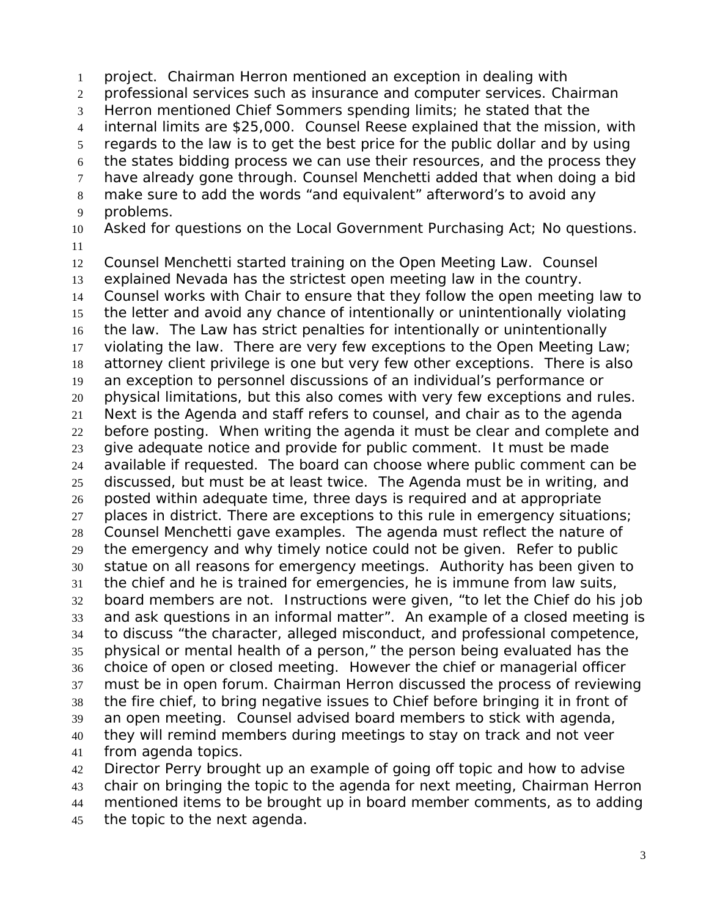project. Chairman Herron mentioned an exception in dealing with professional services such as insurance and computer services. Chairman Herron mentioned Chief Sommers spending limits; he stated that the internal limits are \$25,000. Counsel Reese explained that the mission, with regards to the law is to get the best price for the public dollar and by using the states bidding process we can use their resources, and the process they have already gone through. Counsel Menchetti added that when doing a bid make sure to add the words "and equivalent" afterword's to avoid any problems. Asked for questions on the Local Government Purchasing Act; No questions. Counsel Menchetti started training on the Open Meeting Law. Counsel explained Nevada has the strictest open meeting law in the country. Counsel works with Chair to ensure that they follow the open meeting law to the letter and avoid any chance of intentionally or unintentionally violating the law. The Law has strict penalties for intentionally or unintentionally violating the law. There are very few exceptions to the Open Meeting Law; attorney client privilege is one but very few other exceptions. There is also an exception to personnel discussions of an individual's performance or physical limitations, but this also comes with very few exceptions and rules. Next is the Agenda and staff refers to counsel, and chair as to the agenda before posting. When writing the agenda it must be clear and complete and give adequate notice and provide for public comment. It must be made available if requested. The board can choose where public comment can be discussed, but must be at least twice. The Agenda must be in writing, and posted within adequate time, three days is required and at appropriate 27 places in district. There are exceptions to this rule in emergency situations; Counsel Menchetti gave examples. The agenda must reflect the nature of the emergency and why timely notice could not be given. Refer to public statue on all reasons for emergency meetings. Authority has been given to the chief and he is trained for emergencies, he is immune from law suits, board members are not. Instructions were given, "to let the Chief do his job and ask questions in an informal matter". An example of a closed meeting is to discuss "the character, alleged misconduct, and professional competence, physical or mental health of a person," the person being evaluated has the choice of open or closed meeting. However the chief or managerial officer must be in open forum. Chairman Herron discussed the process of reviewing the fire chief, to bring negative issues to Chief before bringing it in front of an open meeting. Counsel advised board members to stick with agenda, they will remind members during meetings to stay on track and not veer from agenda topics. Director Perry brought up an example of going off topic and how to advise

 chair on bringing the topic to the agenda for next meeting, Chairman Herron mentioned items to be brought up in board member comments, as to adding the topic to the next agenda.